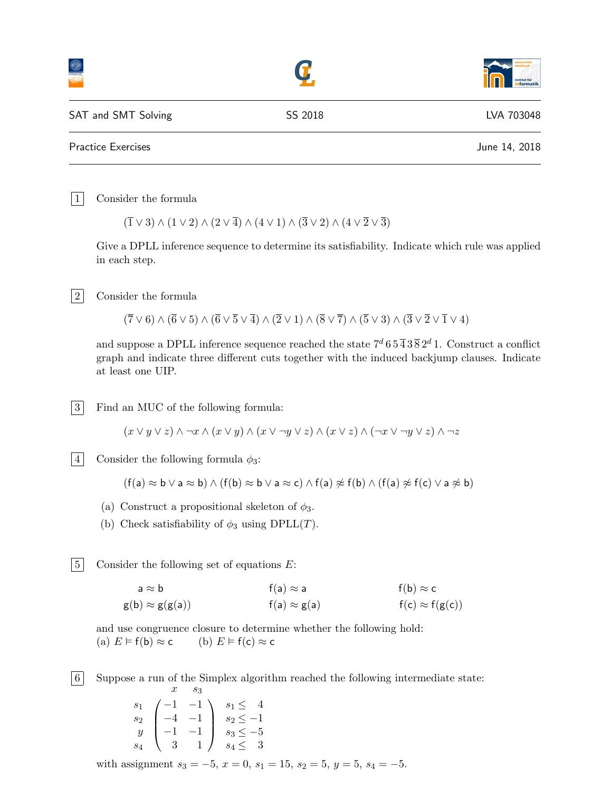|                     |         | universitä <sup>®</sup><br>institut für<br><b>informatik</b> |
|---------------------|---------|--------------------------------------------------------------|
| SAT and SMT Solving | SS 2018 | LVA 703048                                                   |
| Practice Exercises  |         | June 14, 2018                                                |
|                     |         |                                                              |

1 Consider the formula

 $(\overline{1} \vee 3) \wedge (1 \vee 2) \wedge (2 \vee \overline{4}) \wedge (4 \vee 1) \wedge (\overline{3} \vee 2) \wedge (4 \vee \overline{2} \vee \overline{3})$ 

Give a DPLL inference sequence to determine its satisfiability. Indicate which rule was applied in each step.

|2| Consider the formula

 $(\overline{7}\vee 6)\wedge (\overline{6}\vee 5)\wedge (\overline{6}\vee \overline{5}\vee \overline{4})\wedge (\overline{2}\vee 1)\wedge (\overline{8}\vee \overline{7})\wedge (\overline{5}\vee 3)\wedge (\overline{3}\vee \overline{2}\vee \overline{1}\vee 4)$ 

and suppose a DPLL inference sequence reached the state  $7^d 6 5 \overline{4} 3 \overline{8} 2^d 1$ . Construct a conflict graph and indicate three different cuts together with the induced backjump clauses. Indicate at least one UIP.

3 Find an MUC of the following formula:

 $(x \vee y \vee z) \wedge \neg x \wedge (x \vee y) \wedge (x \vee \neg y \vee z) \wedge (x \vee z) \wedge (\neg x \vee \neg y \vee z) \wedge \neg z$ 

|4| Consider the following formula  $\phi_3$ :

 $(f(a) \approx b \vee a \approx b) \wedge (f(b) \approx b \vee a \approx c) \wedge f(a) \not\approx f(b) \wedge (f(a) \not\approx f(c) \vee a \not\approx b)$ 

- (a) Construct a propositional skeleton of  $\phi_3$ .
- (b) Check satisfiability of  $\phi_3$  using DPLL(T).

 $|5|$  Consider the following set of equations E:

$$
a \approx b \qquad f(a) \approx a \qquad f(b) \approx c
$$
  
 
$$
g(b) \approx g(g(a)) \qquad f(a) \approx g(a) \qquad f(c) \approx f(g(c))
$$

and use congruence closure to determine whether the following hold: (a)  $E \models f(b) \approx c$  (b)  $E \models f(c) \approx c$ 

6 Suppose a run of the Simplex algorithm reached the following intermediate state:  $x \quad s_3$ 

$$
\begin{array}{c}\ns_1 \\
s_2 \\
y \\
s_4\n\end{array}\n\begin{pmatrix}\n-1 & -1 \\
-4 & -1 \\
-1 & -1 \\
3 & 1\n\end{pmatrix}\n\begin{array}{c}\ns_1 \leq 4 \\
s_2 \leq -1 \\
s_3 \leq -5 \\
s_4 \leq 3\n\end{array}
$$

with assignment  $s_3 = -5$ ,  $x = 0$ ,  $s_1 = 15$ ,  $s_2 = 5$ ,  $y = 5$ ,  $s_4 = -5$ .